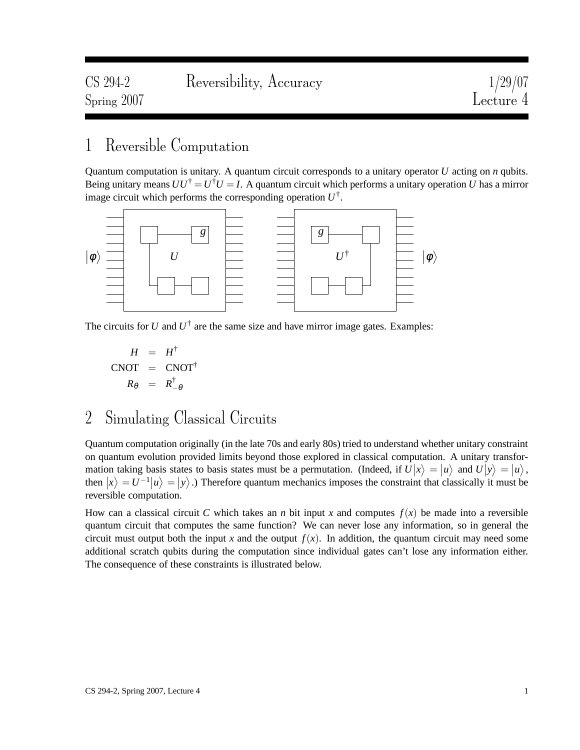## 1 Reversible Computation

Quantum computation is unitary. A quantum circuit corresponds to a unitary operator *U* acting on *n* qubits. Being unitary means  $UU^{\dagger} = U^{\dagger}U = I$ . A quantum circuit which performs a unitary operation *U* has a mirror image circuit which performs the corresponding operation *U* † .



The circuits for  $U$  and  $U^{\dagger}$  are the same size and have mirror image gates. Examples:

$$
H = H^{\dagger}
$$
  
CNOT = CNOT<sup>\dagger</sup>  

$$
R_{\theta} = R^{\dagger}_{-\theta}
$$

## 2 Simulating Classical Circuits

Quantum computation originally (in the late 70s and early 80s) tried to understand whether unitary constraint on quantum evolution provided limits beyond those explored in classical computation. A unitary transformation taking basis states to basis states must be a permutation. (Indeed, if  $U|x\rangle = |u\rangle$  and  $U|y\rangle = |u\rangle$ , then  $|x\rangle = U^{-1} |u\rangle = |y\rangle$ .) Therefore quantum mechanics imposes the constraint that classically it must be reversible computation.

How can a classical circuit *C* which takes an *n* bit input *x* and computes  $f(x)$  be made into a reversible quantum circuit that computes the same function? We can never lose any information, so in general the circuit must output both the input *x* and the output  $f(x)$ . In addition, the quantum circuit may need some additional scratch qubits during the computation since individual gates can't lose any information either. The consequence of these constraints is illustrated below.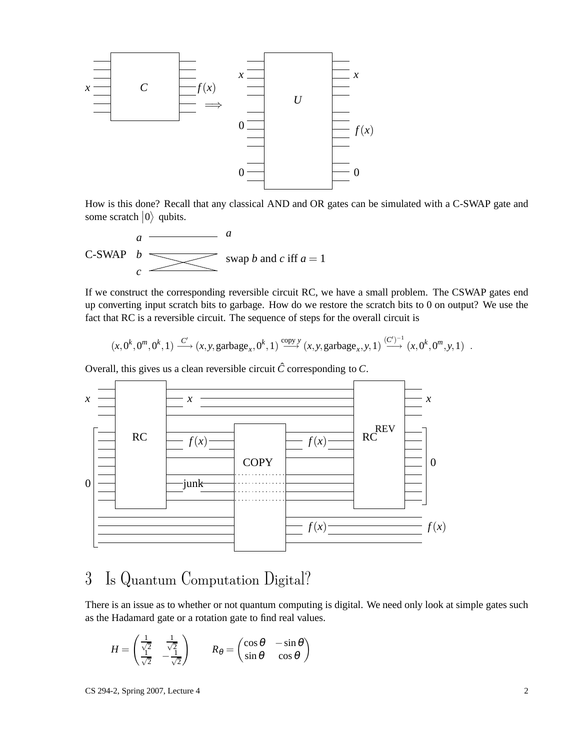

How is this done? Recall that any classical AND and OR gates can be simulated with a C-SWAP gate and some scratch  $|0\rangle$  qubits.

C-SWAP 
$$
b
$$
  
 $c$   
 $c$   
 $c$   
 $c$   
 $a$   
swap *b* and *c* iff  $a = 1$ 

If we construct the corresponding reversible circuit RC, we have a small problem. The CSWAP gates end up converting input scratch bits to garbage. How do we restore the scratch bits to 0 on output? We use the fact that RC is a reversible circuit. The sequence of steps for the overall circuit is

$$
(x,0^k,0^m,0^k,1)\xrightarrow{C'} (x,y,\text{garbage}_x,0^k,1)\xrightarrow{\text{copy }y} (x,y,\text{garbage}_x,y,1)\xrightarrow{(C')^{-1}} (x,0^k,0^m,y,1) .
$$

Overall, this gives us a clean reversible circuit  $\hat{C}$  corresponding to  $C$ .



## 3 Is Quantum Computation Digital?

There is an issue as to whether or not quantum computing is digital. We need only look at simple gates such as the Hadamard gate or a rotation gate to find real values.

$$
H = \begin{pmatrix} \frac{1}{\sqrt{2}} & \frac{1}{\sqrt{2}} \\ \frac{1}{\sqrt{2}} & -\frac{1}{\sqrt{2}} \end{pmatrix} \qquad R_{\theta} = \begin{pmatrix} \cos \theta & -\sin \theta \\ \sin \theta & \cos \theta \end{pmatrix}
$$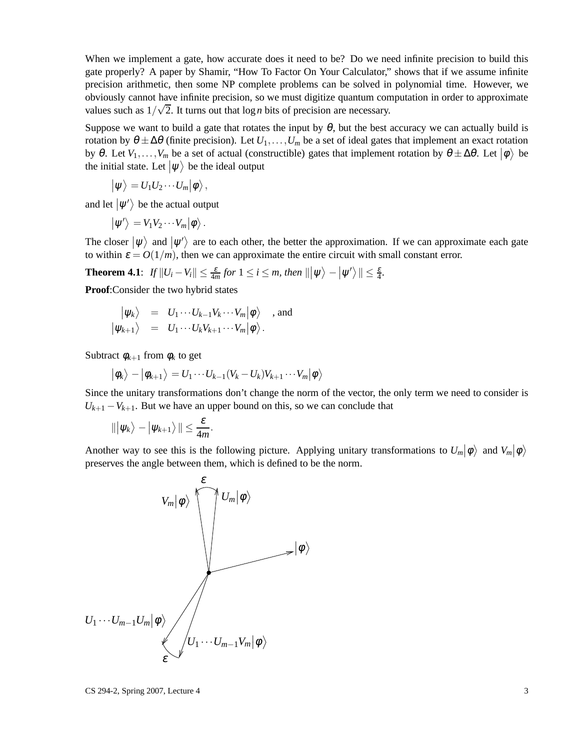When we implement a gate, how accurate does it need to be? Do we need infinite precision to build this gate properly? A paper by Shamir, "How To Factor On Your Calculator," shows that if we assume infinite precision arithmetic, then some NP complete problems can be solved in polynomial time. However, we obviously cannot have infinite precision, so we must digitize quantum computation in order to approximate values such as  $1/\sqrt{2}$ . It turns out that  $\log n$  bits of precision are necessary.

Suppose we want to build a gate that rotates the input by  $\theta$ , but the best accuracy we can actually build is rotation by  $\theta \pm \Delta \theta$  (finite precision). Let  $U_1, \ldots, U_m$  be a set of ideal gates that implement an exact rotation by  $\theta$ . Let  $V_1, \ldots, V_m$  be a set of actual (constructible) gates that implement rotation by  $\theta \pm \Delta \theta$ . Let  $|\phi\rangle$  be the initial state. Let  $|\psi\rangle$  be the ideal output

$$
\big|\psi\big>=U_1U_2\cdots U_m\big|\phi\big>,
$$

and let  $|\psi'\rangle$  be the actual output

$$
\big|\psi'\big>=V_1V_2\cdots V_m\big|\phi\big>.
$$

The closer  $|\psi\rangle$  and  $|\psi'\rangle$  are to each other, the better the approximation. If we can approximate each gate to within  $\varepsilon = O(1/m)$ , then we can approximate the entire circuit with small constant error.

**Theorem 4.1**:  $If ||U_i - V_i|| \leq \frac{\varepsilon}{4m}$  for  $1 \leq i \leq m$ , then  $|||\psi\rangle - |\psi'\rangle|| \leq \frac{\varepsilon}{4}$ .

**Proof**:Consider the two hybrid states

$$
\begin{array}{rcl}\n\big|\psi_k\big\rangle &=& U_1\cdots U_{k-1}V_k\cdots V_m\big|\phi\big\rangle \quad \text{, and} \\
\big|\psi_{k+1}\big\rangle &=& U_1\cdots U_kV_{k+1}\cdots V_m\big|\phi\big\rangle.\n\end{array}
$$

Subtract  $\phi_{k+1}$  from  $\phi_k$  to get

$$
|\phi_k\rangle - |\phi_{k+1}\rangle = U_1 \cdots U_{k-1} (V_k - U_k) V_{k+1} \cdots V_m |\phi\rangle
$$

Since the unitary transformations don't change the norm of the vector, the only term we need to consider is  $U_{k+1} - V_{k+1}$ . But we have an upper bound on this, so we can conclude that

$$
\|\big|\psi_k\big> - \big|\psi_{k+1}\big>\|\leq \frac{\varepsilon}{4m}.
$$

Another way to see this is the following picture. Applying unitary transformations to  $U_m|\phi\rangle$  and  $V_m|\phi\rangle$ preserves the angle between them, which is defined to be the norm.